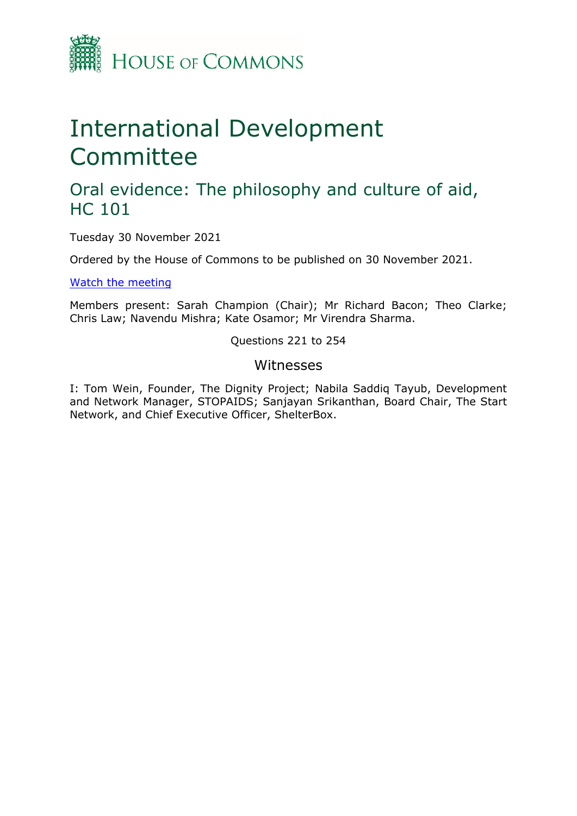

# International Development Committee

## Oral evidence: The philosophy and culture of aid, HC 101

Tuesday 30 November 2021

Ordered by the House of Commons to be published on 30 November 2021.

[Watch](https://www.parliamentlive.tv/Event/Index/086edefa-8515-46a5-80c4-ed02adfbf916) [the](https://www.parliamentlive.tv/Event/Index/086edefa-8515-46a5-80c4-ed02adfbf916) [meeting](https://www.parliamentlive.tv/Event/Index/086edefa-8515-46a5-80c4-ed02adfbf916)

Members present: Sarah Champion (Chair); Mr Richard Bacon; Theo Clarke; Chris Law; Navendu Mishra; Kate Osamor; Mr Virendra Sharma.

Questions 221 to 254

#### Witnesses

I: Tom Wein, Founder, The Dignity Project; Nabila Saddiq Tayub, Development and Network Manager, STOPAIDS; Sanjayan Srikanthan, Board Chair, The Start Network, and Chief Executive Officer, ShelterBox.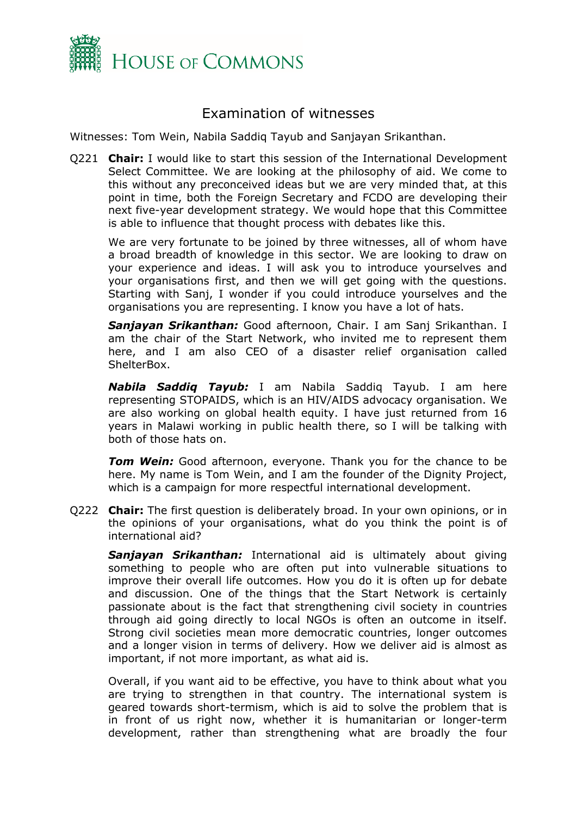

### Examination of witnesses

Witnesses: Tom Wein, Nabila Saddiq Tayub and Sanjayan Srikanthan.

Q221 **Chair:** I would like to start this session of the International Development Select Committee. We are looking at the philosophy of aid. We come to this without any preconceived ideas but we are very minded that, at this point in time, both the Foreign Secretary and FCDO are developing their next five-year development strategy. We would hope that this Committee is able to influence that thought process with debates like this.

We are very fortunate to be joined by three witnesses, all of whom have a broad breadth of knowledge in this sector. We are looking to draw on your experience and ideas. I will ask you to introduce yourselves and your organisations first, and then we will get going with the questions. Starting with Sanj, I wonder if you could introduce yourselves and the organisations you are representing. I know you have a lot of hats.

*Sanjayan Srikanthan:* Good afternoon, Chair. I am Sanj Srikanthan. I am the chair of the Start Network, who invited me to represent them here, and I am also CEO of a disaster relief organisation called ShelterBox.

*Nabila Saddiq Tayub:* I am Nabila Saddiq Tayub. I am here representing STOPAIDS, which is an HIV/AIDS advocacy organisation. We are also working on global health equity. I have just returned from 16 years in Malawi working in public health there, so I will be talking with both of those hats on.

*Tom Wein:* Good afternoon, everyone. Thank you for the chance to be here. My name is Tom Wein, and I am the founder of the Dignity Project, which is a campaign for more respectful international development.

Q222 **Chair:** The first question is deliberately broad. In your own opinions, or in the opinions of your organisations, what do you think the point is of international aid?

*Sanjayan Srikanthan:* International aid is ultimately about giving something to people who are often put into vulnerable situations to improve their overall life outcomes. How you do it is often up for debate and discussion. One of the things that the Start Network is certainly passionate about is the fact that strengthening civil society in countries through aid going directly to local NGOs is often an outcome in itself. Strong civil societies mean more democratic countries, longer outcomes and a longer vision in terms of delivery. How we deliver aid is almost as important, if not more important, as what aid is.

Overall, if you want aid to be effective, you have to think about what you are trying to strengthen in that country. The international system is geared towards short-termism, which is aid to solve the problem that is in front of us right now, whether it is humanitarian or longer-term development, rather than strengthening what are broadly the four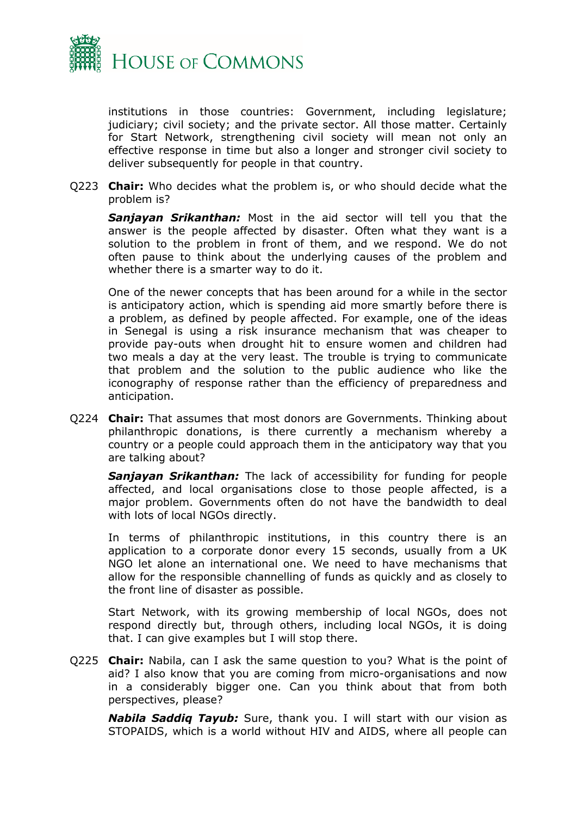

institutions in those countries: Government, including legislature; judiciary; civil society; and the private sector. All those matter. Certainly for Start Network, strengthening civil society will mean not only an effective response in time but also a longer and stronger civil society to deliver subsequently for people in that country.

Q223 **Chair:** Who decides what the problem is, or who should decide what the problem is?

*Sanjayan Srikanthan:* Most in the aid sector will tell you that the answer is the people affected by disaster. Often what they want is a solution to the problem in front of them, and we respond. We do not often pause to think about the underlying causes of the problem and whether there is a smarter way to do it.

One of the newer concepts that has been around for a while in the sector is anticipatory action, which is spending aid more smartly before there is a problem, as defined by people affected. For example, one of the ideas in Senegal is using a risk insurance mechanism that was cheaper to provide pay-outs when drought hit to ensure women and children had two meals a day at the very least. The trouble is trying to communicate that problem and the solution to the public audience who like the iconography of response rather than the efficiency of preparedness and anticipation.

Q224 **Chair:** That assumes that most donors are Governments. Thinking about philanthropic donations, is there currently a mechanism whereby a country or a people could approach them in the anticipatory way that you are talking about?

*Sanjayan Srikanthan:* The lack of accessibility for funding for people affected, and local organisations close to those people affected, is a major problem. Governments often do not have the bandwidth to deal with lots of local NGOs directly.

In terms of philanthropic institutions, in this country there is an application to a corporate donor every 15 seconds, usually from a UK NGO let alone an international one. We need to have mechanisms that allow for the responsible channelling of funds as quickly and as closely to the front line of disaster as possible.

Start Network, with its growing membership of local NGOs, does not respond directly but, through others, including local NGOs, it is doing that. I can give examples but I will stop there.

Q225 **Chair:** Nabila, can I ask the same question to you? What is the point of aid? I also know that you are coming from micro-organisations and now in a considerably bigger one. Can you think about that from both perspectives, please?

*Nabila Saddiq Tayub:* Sure, thank you. I will start with our vision as STOPAIDS, which is a world without HIV and AIDS, where all people can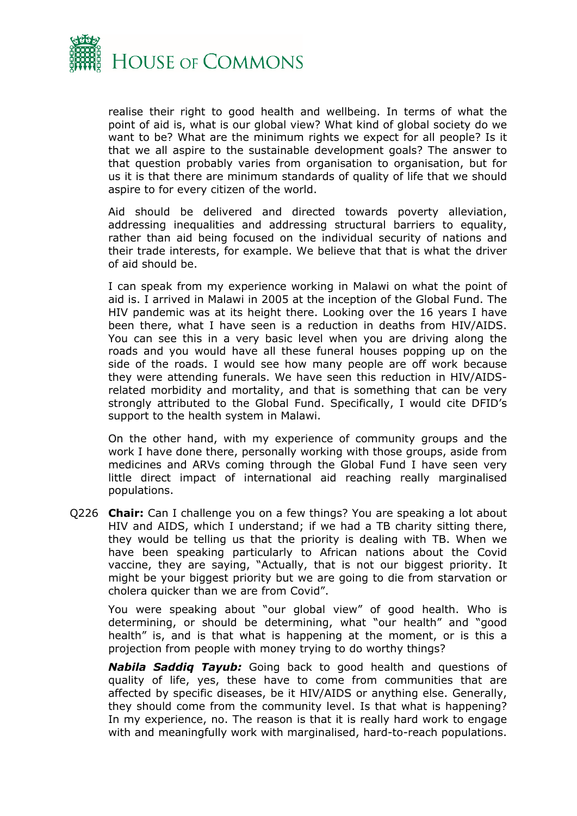

realise their right to good health and wellbeing. In terms of what the point of aid is, what is our global view? What kind of global society do we want to be? What are the minimum rights we expect for all people? Is it that we all aspire to the sustainable development goals? The answer to that question probably varies from organisation to organisation, but for us it is that there are minimum standards of quality of life that we should aspire to for every citizen of the world.

Aid should be delivered and directed towards poverty alleviation, addressing inequalities and addressing structural barriers to equality, rather than aid being focused on the individual security of nations and their trade interests, for example. We believe that that is what the driver of aid should be.

I can speak from my experience working in Malawi on what the point of aid is. I arrived in Malawi in 2005 at the inception of the Global Fund. The HIV pandemic was at its height there. Looking over the 16 years I have been there, what I have seen is a reduction in deaths from HIV/AIDS. You can see this in a very basic level when you are driving along the roads and you would have all these funeral houses popping up on the side of the roads. I would see how many people are off work because they were attending funerals. We have seen this reduction in HIV/AIDSrelated morbidity and mortality, and that is something that can be very strongly attributed to the Global Fund. Specifically, I would cite DFID's support to the health system in Malawi.

On the other hand, with my experience of community groups and the work I have done there, personally working with those groups, aside from medicines and ARVs coming through the Global Fund I have seen very little direct impact of international aid reaching really marginalised populations.

Q226 **Chair:** Can I challenge you on a few things? You are speaking a lot about HIV and AIDS, which I understand; if we had a TB charity sitting there, they would be telling us that the priority is dealing with TB. When we have been speaking particularly to African nations about the Covid vaccine, they are saying, "Actually, that is not our biggest priority. It might be your biggest priority but we are going to die from starvation or cholera quicker than we are from Covid".

You were speaking about "our global view" of good health. Who is determining, or should be determining, what "our health" and "good health" is, and is that what is happening at the moment, or is this a projection from people with money trying to do worthy things?

*Nabila Saddiq Tayub:* Going back to good health and questions of quality of life, yes, these have to come from communities that are affected by specific diseases, be it HIV/AIDS or anything else. Generally, they should come from the community level. Is that what is happening? In my experience, no. The reason is that it is really hard work to engage with and meaningfully work with marginalised, hard-to-reach populations.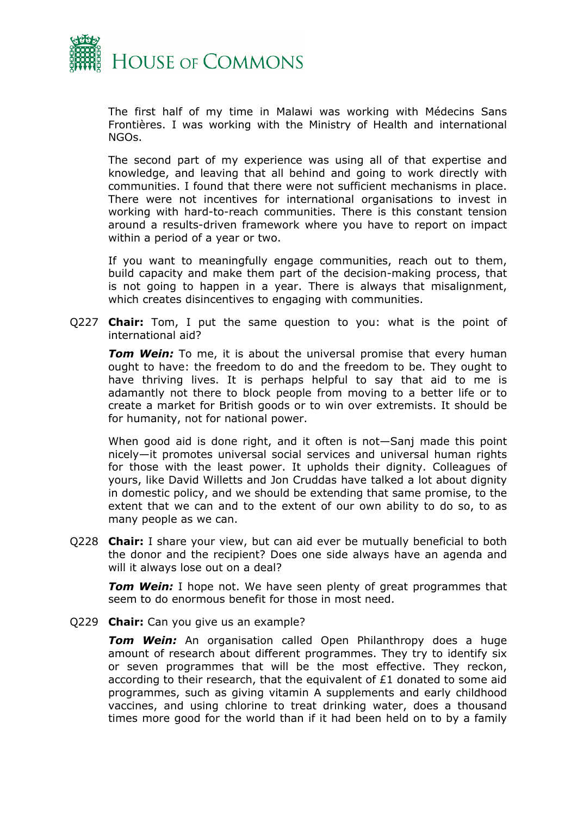

The first half of my time in Malawi was working with Médecins Sans Frontières. I was working with the Ministry of Health and international NGOs.

The second part of my experience was using all of that expertise and knowledge, and leaving that all behind and going to work directly with communities. I found that there were not sufficient mechanisms in place. There were not incentives for international organisations to invest in working with hard-to-reach communities. There is this constant tension around a results-driven framework where you have to report on impact within a period of a year or two.

If you want to meaningfully engage communities, reach out to them, build capacity and make them part of the decision-making process, that is not going to happen in a year. There is always that misalignment, which creates disincentives to engaging with communities.

Q227 **Chair:** Tom, I put the same question to you: what is the point of international aid?

**Tom Wein:** To me, it is about the universal promise that every human ought to have: the freedom to do and the freedom to be. They ought to have thriving lives. It is perhaps helpful to say that aid to me is adamantly not there to block people from moving to a better life or to create a market for British goods or to win over extremists. It should be for humanity, not for national power.

When good aid is done right, and it often is not—Sanj made this point nicely—it promotes universal social services and universal human rights for those with the least power. It upholds their dignity. Colleagues of yours, like David Willetts and Jon Cruddas have talked a lot about dignity in domestic policy, and we should be extending that same promise, to the extent that we can and to the extent of our own ability to do so, to as many people as we can.

Q228 **Chair:** I share your view, but can aid ever be mutually beneficial to both the donor and the recipient? Does one side always have an agenda and will it always lose out on a deal?

*Tom Wein:* I hope not. We have seen plenty of great programmes that seem to do enormous benefit for those in most need.

Q229 **Chair:** Can you give us an example?

*Tom Wein:* An organisation called Open Philanthropy does a huge amount of research about different programmes. They try to identify six or seven programmes that will be the most effective. They reckon, according to their research, that the equivalent of £1 donated to some aid programmes, such as giving vitamin A supplements and early childhood vaccines, and using chlorine to treat drinking water, does a thousand times more good for the world than if it had been held on to by a family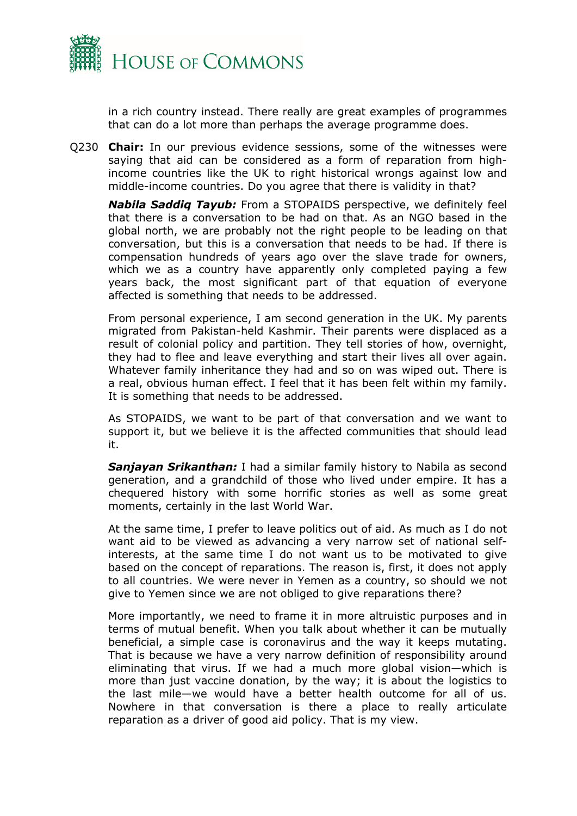

in a rich country instead. There really are great examples of programmes that can do a lot more than perhaps the average programme does.

Q230 **Chair:** In our previous evidence sessions, some of the witnesses were saying that aid can be considered as a form of reparation from highincome countries like the UK to right historical wrongs against low and middle-income countries. Do you agree that there is validity in that?

*Nabila Saddiq Tayub:* From a STOPAIDS perspective, we definitely feel that there is a conversation to be had on that. As an NGO based in the global north, we are probably not the right people to be leading on that conversation, but this is a conversation that needs to be had. If there is compensation hundreds of years ago over the slave trade for owners, which we as a country have apparently only completed paying a few years back, the most significant part of that equation of everyone affected is something that needs to be addressed.

From personal experience, I am second generation in the UK. My parents migrated from Pakistan-held Kashmir. Their parents were displaced as a result of colonial policy and partition. They tell stories of how, overnight, they had to flee and leave everything and start their lives all over again. Whatever family inheritance they had and so on was wiped out. There is a real, obvious human effect. I feel that it has been felt within my family. It is something that needs to be addressed.

As STOPAIDS, we want to be part of that conversation and we want to support it, but we believe it is the affected communities that should lead it.

*Sanjayan Srikanthan:* I had a similar family history to Nabila as second generation, and a grandchild of those who lived under empire. It has a chequered history with some horrific stories as well as some great moments, certainly in the last World War.

At the same time, I prefer to leave politics out of aid. As much as I do not want aid to be viewed as advancing a very narrow set of national selfinterests, at the same time I do not want us to be motivated to give based on the concept of reparations. The reason is, first, it does not apply to all countries. We were never in Yemen as a country, so should we not give to Yemen since we are not obliged to give reparations there?

More importantly, we need to frame it in more altruistic purposes and in terms of mutual benefit. When you talk about whether it can be mutually beneficial, a simple case is coronavirus and the way it keeps mutating. That is because we have a very narrow definition of responsibility around eliminating that virus. If we had a much more global vision—which is more than just vaccine donation, by the way; it is about the logistics to the last mile—we would have a better health outcome for all of us. Nowhere in that conversation is there a place to really articulate reparation as a driver of good aid policy. That is my view.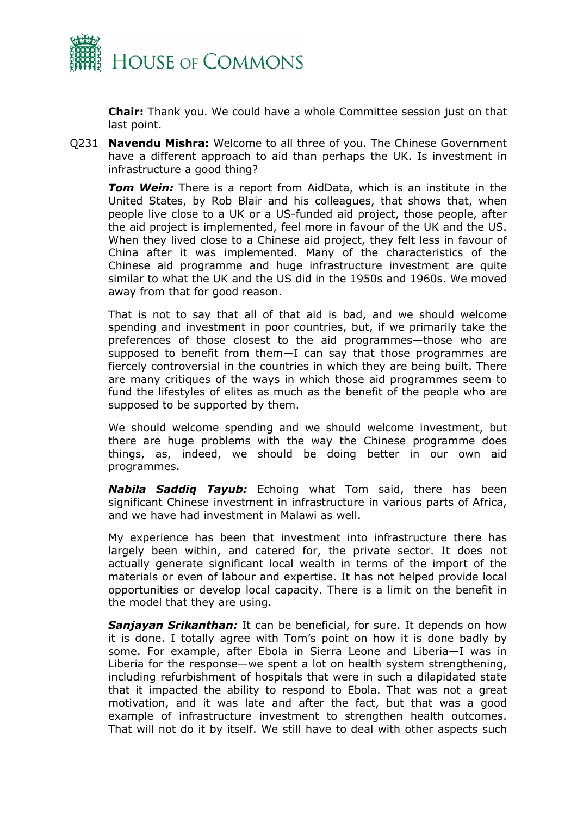

**Chair:** Thank you. We could have a whole Committee session just on that last point.

Q231 **Navendu Mishra:** Welcome to all three of you. The Chinese Government have a different approach to aid than perhaps the UK. Is investment in infrastructure a good thing?

*Tom Wein:* There is a report from AidData, which is an institute in the United States, by Rob Blair and his colleagues, that shows that, when people live close to a UK or a US-funded aid project, those people, after the aid project is implemented, feel more in favour of the UK and the US. When they lived close to a Chinese aid project, they felt less in favour of China after it was implemented. Many of the characteristics of the Chinese aid programme and huge infrastructure investment are quite similar to what the UK and the US did in the 1950s and 1960s. We moved away from that for good reason.

That is not to say that all of that aid is bad, and we should welcome spending and investment in poor countries, but, if we primarily take the preferences of those closest to the aid programmes—those who are supposed to benefit from them—I can say that those programmes are fiercely controversial in the countries in which they are being built. There are many critiques of the ways in which those aid programmes seem to fund the lifestyles of elites as much as the benefit of the people who are supposed to be supported by them.

We should welcome spending and we should welcome investment, but there are huge problems with the way the Chinese programme does things, as, indeed, we should be doing better in our own aid programmes.

*Nabila Saddiq Tayub:* Echoing what Tom said, there has been significant Chinese investment in infrastructure in various parts of Africa, and we have had investment in Malawi as well.

My experience has been that investment into infrastructure there has largely been within, and catered for, the private sector. It does not actually generate significant local wealth in terms of the import of the materials or even of labour and expertise. It has not helped provide local opportunities or develop local capacity. There is a limit on the benefit in the model that they are using.

*Sanjayan Srikanthan:* It can be beneficial, for sure. It depends on how it is done. I totally agree with Tom's point on how it is done badly by some. For example, after Ebola in Sierra Leone and Liberia—I was in Liberia for the response—we spent a lot on health system strengthening, including refurbishment of hospitals that were in such a dilapidated state that it impacted the ability to respond to Ebola. That was not a great motivation, and it was late and after the fact, but that was a good example of infrastructure investment to strengthen health outcomes. That will not do it by itself. We still have to deal with other aspects such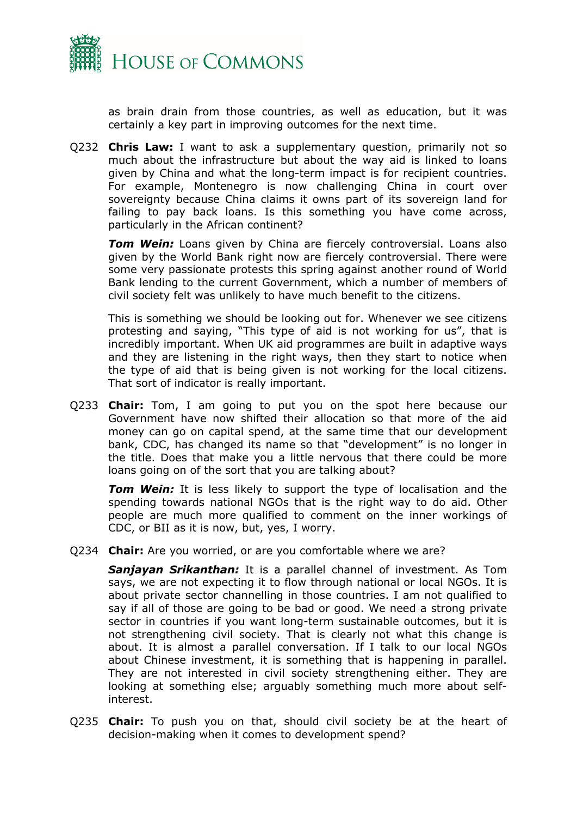

as brain drain from those countries, as well as education, but it was certainly a key part in improving outcomes for the next time.

Q232 **Chris Law:** I want to ask a supplementary question, primarily not so much about the infrastructure but about the way aid is linked to loans given by China and what the long-term impact is for recipient countries. For example, Montenegro is now challenging China in court over sovereignty because China claims it owns part of its sovereign land for failing to pay back loans. Is this something you have come across, particularly in the African continent?

*Tom Wein:* Loans given by China are fiercely controversial. Loans also given by the World Bank right now are fiercely controversial. There were some very passionate protests this spring against another round of World Bank lending to the current Government, which a number of members of civil society felt was unlikely to have much benefit to the citizens.

This is something we should be looking out for. Whenever we see citizens protesting and saying, "This type of aid is not working for us", that is incredibly important. When UK aid programmes are built in adaptive ways and they are listening in the right ways, then they start to notice when the type of aid that is being given is not working for the local citizens. That sort of indicator is really important.

Q233 **Chair:** Tom, I am going to put you on the spot here because our Government have now shifted their allocation so that more of the aid money can go on capital spend, at the same time that our development bank, CDC, has changed its name so that "development" is no longer in the title. Does that make you a little nervous that there could be more loans going on of the sort that you are talking about?

**Tom Wein:** It is less likely to support the type of localisation and the spending towards national NGOs that is the right way to do aid. Other people are much more qualified to comment on the inner workings of CDC, or BII as it is now, but, yes, I worry.

Q234 **Chair:** Are you worried, or are you comfortable where we are?

*Sanjayan Srikanthan:* It is a parallel channel of investment. As Tom says, we are not expecting it to flow through national or local NGOs. It is about private sector channelling in those countries. I am not qualified to say if all of those are going to be bad or good. We need a strong private sector in countries if you want long-term sustainable outcomes, but it is not strengthening civil society. That is clearly not what this change is about. It is almost a parallel conversation. If I talk to our local NGOs about Chinese investment, it is something that is happening in parallel. They are not interested in civil society strengthening either. They are looking at something else; arguably something much more about selfinterest.

Q235 **Chair:** To push you on that, should civil society be at the heart of decision-making when it comes to development spend?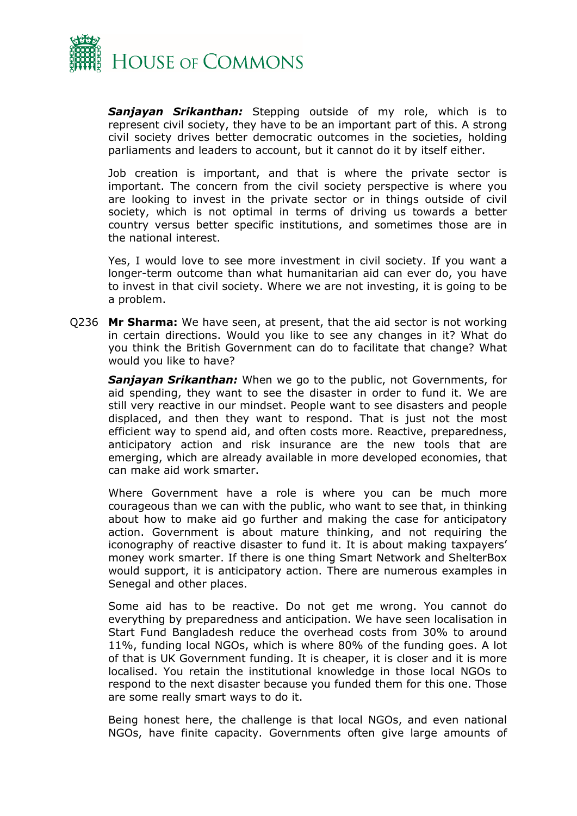

*Sanjayan Srikanthan:* Stepping outside of my role, which is to represent civil society, they have to be an important part of this. A strong civil society drives better democratic outcomes in the societies, holding parliaments and leaders to account, but it cannot do it by itself either.

Job creation is important, and that is where the private sector is important. The concern from the civil society perspective is where you are looking to invest in the private sector or in things outside of civil society, which is not optimal in terms of driving us towards a better country versus better specific institutions, and sometimes those are in the national interest.

Yes, I would love to see more investment in civil society. If you want a longer-term outcome than what humanitarian aid can ever do, you have to invest in that civil society. Where we are not investing, it is going to be a problem.

Q236 **Mr Sharma:** We have seen, at present, that the aid sector is not working in certain directions. Would you like to see any changes in it? What do you think the British Government can do to facilitate that change? What would you like to have?

*Sanjayan Srikanthan:* When we go to the public, not Governments, for aid spending, they want to see the disaster in order to fund it. We are still very reactive in our mindset. People want to see disasters and people displaced, and then they want to respond. That is just not the most efficient way to spend aid, and often costs more. Reactive, preparedness, anticipatory action and risk insurance are the new tools that are emerging, which are already available in more developed economies, that can make aid work smarter.

Where Government have a role is where you can be much more courageous than we can with the public, who want to see that, in thinking about how to make aid go further and making the case for anticipatory action. Government is about mature thinking, and not requiring the iconography of reactive disaster to fund it. It is about making taxpayers' money work smarter. If there is one thing Smart Network and ShelterBox would support, it is anticipatory action. There are numerous examples in Senegal and other places.

Some aid has to be reactive. Do not get me wrong. You cannot do everything by preparedness and anticipation. We have seen localisation in Start Fund Bangladesh reduce the overhead costs from 30% to around 11%, funding local NGOs, which is where 80% of the funding goes. A lot of that is UK Government funding. It is cheaper, it is closer and it is more localised. You retain the institutional knowledge in those local NGOs to respond to the next disaster because you funded them for this one. Those are some really smart ways to do it.

Being honest here, the challenge is that local NGOs, and even national NGOs, have finite capacity. Governments often give large amounts of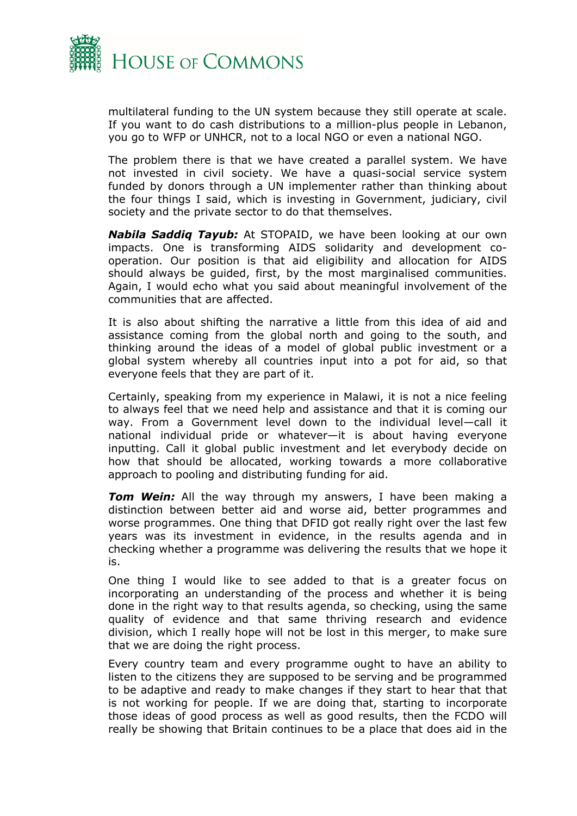

multilateral funding to the UN system because they still operate at scale. If you want to do cash distributions to a million-plus people in Lebanon, you go to WFP or UNHCR, not to a local NGO or even a national NGO.

The problem there is that we have created a parallel system. We have not invested in civil society. We have a quasi-social service system funded by donors through a UN implementer rather than thinking about the four things I said, which is investing in Government, judiciary, civil society and the private sector to do that themselves.

*Nabila Saddiq Tayub:* At STOPAID, we have been looking at our own impacts. One is transforming AIDS solidarity and development cooperation. Our position is that aid eligibility and allocation for AIDS should always be guided, first, by the most marginalised communities. Again, I would echo what you said about meaningful involvement of the communities that are affected.

It is also about shifting the narrative a little from this idea of aid and assistance coming from the global north and going to the south, and thinking around the ideas of a model of global public investment or a global system whereby all countries input into a pot for aid, so that everyone feels that they are part of it.

Certainly, speaking from my experience in Malawi, it is not a nice feeling to always feel that we need help and assistance and that it is coming our way. From a Government level down to the individual level—call it national individual pride or whatever—it is about having everyone inputting. Call it global public investment and let everybody decide on how that should be allocated, working towards a more collaborative approach to pooling and distributing funding for aid.

*Tom Wein:* All the way through my answers, I have been making a distinction between better aid and worse aid, better programmes and worse programmes. One thing that DFID got really right over the last few years was its investment in evidence, in the results agenda and in checking whether a programme was delivering the results that we hope it is.

One thing I would like to see added to that is a greater focus on incorporating an understanding of the process and whether it is being done in the right way to that results agenda, so checking, using the same quality of evidence and that same thriving research and evidence division, which I really hope will not be lost in this merger, to make sure that we are doing the right process.

Every country team and every programme ought to have an ability to listen to the citizens they are supposed to be serving and be programmed to be adaptive and ready to make changes if they start to hear that that is not working for people. If we are doing that, starting to incorporate those ideas of good process as well as good results, then the FCDO will really be showing that Britain continues to be a place that does aid in the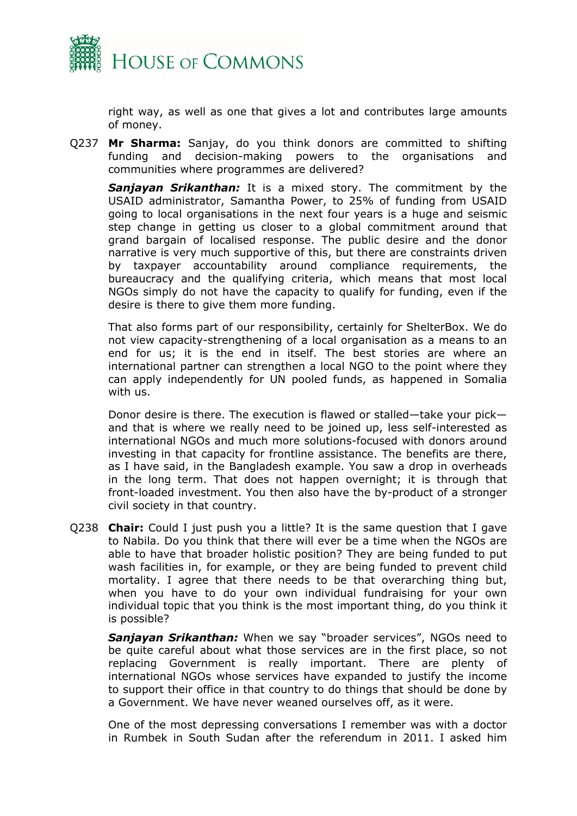

right way, as well as one that gives a lot and contributes large amounts of money.

Q237 **Mr Sharma:** Sanjay, do you think donors are committed to shifting funding and decision-making powers to the organisations and communities where programmes are delivered?

*Sanjayan Srikanthan:* It is a mixed story. The commitment by the USAID administrator, Samantha Power, to 25% of funding from USAID going to local organisations in the next four years is a huge and seismic step change in getting us closer to a global commitment around that grand bargain of localised response. The public desire and the donor narrative is very much supportive of this, but there are constraints driven by taxpayer accountability around compliance requirements, the bureaucracy and the qualifying criteria, which means that most local NGOs simply do not have the capacity to qualify for funding, even if the desire is there to give them more funding.

That also forms part of our responsibility, certainly for ShelterBox. We do not view capacity-strengthening of a local organisation as a means to an end for us; it is the end in itself. The best stories are where an international partner can strengthen a local NGO to the point where they can apply independently for UN pooled funds, as happened in Somalia with us.

Donor desire is there. The execution is flawed or stalled—take your pick and that is where we really need to be joined up, less self-interested as international NGOs and much more solutions-focused with donors around investing in that capacity for frontline assistance. The benefits are there, as I have said, in the Bangladesh example. You saw a drop in overheads in the long term. That does not happen overnight; it is through that front-loaded investment. You then also have the by-product of a stronger civil society in that country.

Q238 **Chair:** Could I just push you a little? It is the same question that I gave to Nabila. Do you think that there will ever be a time when the NGOs are able to have that broader holistic position? They are being funded to put wash facilities in, for example, or they are being funded to prevent child mortality. I agree that there needs to be that overarching thing but, when you have to do your own individual fundraising for your own individual topic that you think is the most important thing, do you think it is possible?

*Sanjayan Srikanthan:* When we say "broader services", NGOs need to be quite careful about what those services are in the first place, so not replacing Government is really important. There are plenty of international NGOs whose services have expanded to justify the income to support their office in that country to do things that should be done by a Government. We have never weaned ourselves off, as it were.

One of the most depressing conversations I remember was with a doctor in Rumbek in South Sudan after the referendum in 2011. I asked him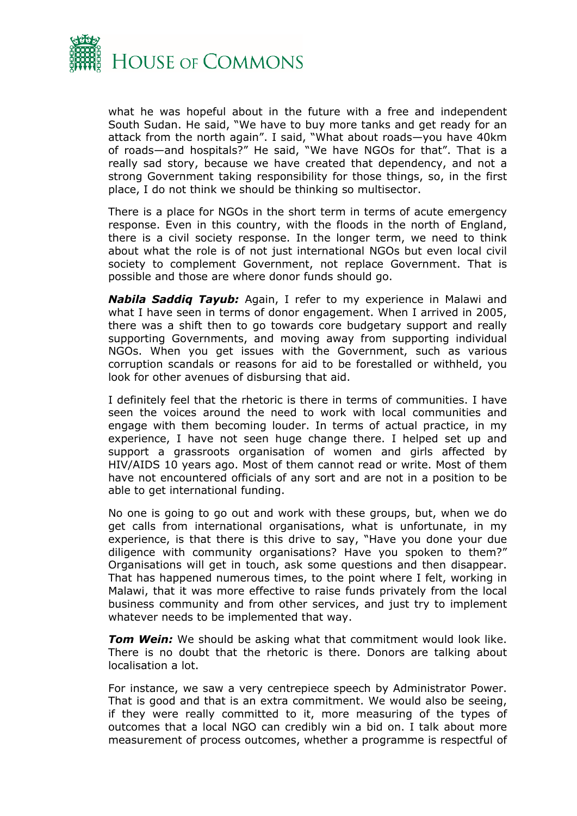

what he was hopeful about in the future with a free and independent South Sudan. He said, "We have to buy more tanks and get ready for an attack from the north again". I said, "What about roads—you have 40km of roads—and hospitals?" He said, "We have NGOs for that". That is a really sad story, because we have created that dependency, and not a strong Government taking responsibility for those things, so, in the first place, I do not think we should be thinking so multisector.

There is a place for NGOs in the short term in terms of acute emergency response. Even in this country, with the floods in the north of England, there is a civil society response. In the longer term, we need to think about what the role is of not just international NGOs but even local civil society to complement Government, not replace Government. That is possible and those are where donor funds should go.

*Nabila Saddiq Tayub:* Again, I refer to my experience in Malawi and what I have seen in terms of donor engagement. When I arrived in 2005, there was a shift then to go towards core budgetary support and really supporting Governments, and moving away from supporting individual NGOs. When you get issues with the Government, such as various corruption scandals or reasons for aid to be forestalled or withheld, you look for other avenues of disbursing that aid.

I definitely feel that the rhetoric is there in terms of communities. I have seen the voices around the need to work with local communities and engage with them becoming louder. In terms of actual practice, in my experience, I have not seen huge change there. I helped set up and support a grassroots organisation of women and girls affected by HIV/AIDS 10 years ago. Most of them cannot read or write. Most of them have not encountered officials of any sort and are not in a position to be able to get international funding.

No one is going to go out and work with these groups, but, when we do get calls from international organisations, what is unfortunate, in my experience, is that there is this drive to say, "Have you done your due diligence with community organisations? Have you spoken to them?" Organisations will get in touch, ask some questions and then disappear. That has happened numerous times, to the point where I felt, working in Malawi, that it was more effective to raise funds privately from the local business community and from other services, and just try to implement whatever needs to be implemented that way.

*Tom Wein:* We should be asking what that commitment would look like. There is no doubt that the rhetoric is there. Donors are talking about localisation a lot.

For instance, we saw a very centrepiece speech by Administrator Power. That is good and that is an extra commitment. We would also be seeing, if they were really committed to it, more measuring of the types of outcomes that a local NGO can credibly win a bid on. I talk about more measurement of process outcomes, whether a programme is respectful of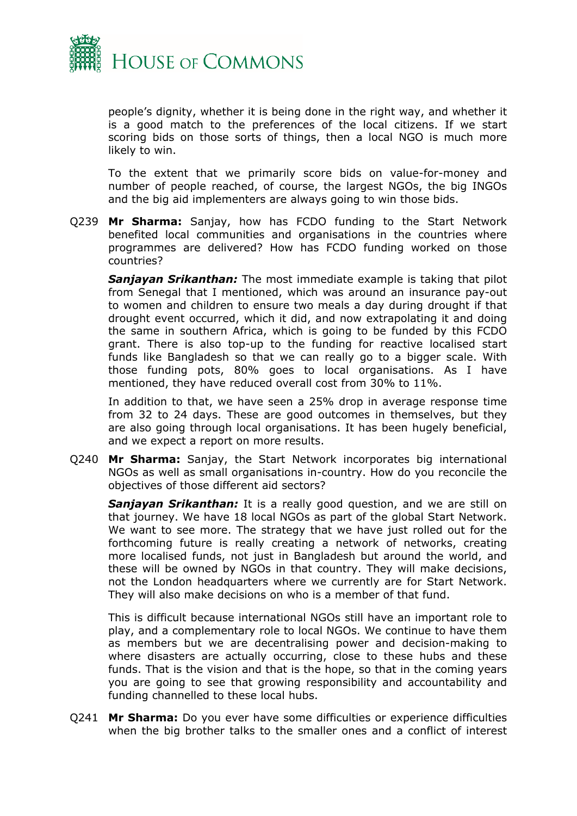

people's dignity, whether it is being done in the right way, and whether it is a good match to the preferences of the local citizens. If we start scoring bids on those sorts of things, then a local NGO is much more likely to win.

To the extent that we primarily score bids on value-for-money and number of people reached, of course, the largest NGOs, the big INGOs and the big aid implementers are always going to win those bids.

Q239 **Mr Sharma:** Sanjay, how has FCDO funding to the Start Network benefited local communities and organisations in the countries where programmes are delivered? How has FCDO funding worked on those countries?

*Sanjayan Srikanthan:* The most immediate example is taking that pilot from Senegal that I mentioned, which was around an insurance pay-out to women and children to ensure two meals a day during drought if that drought event occurred, which it did, and now extrapolating it and doing the same in southern Africa, which is going to be funded by this FCDO grant. There is also top-up to the funding for reactive localised start funds like Bangladesh so that we can really go to a bigger scale. With those funding pots, 80% goes to local organisations. As I have mentioned, they have reduced overall cost from 30% to 11%.

In addition to that, we have seen a 25% drop in average response time from 32 to 24 days. These are good outcomes in themselves, but they are also going through local organisations. It has been hugely beneficial, and we expect a report on more results.

Q240 **Mr Sharma:** Sanjay, the Start Network incorporates big international NGOs as well as small organisations in-country. How do you reconcile the objectives of those different aid sectors?

*Sanjayan Srikanthan:* It is a really good question, and we are still on that journey. We have 18 local NGOs as part of the global Start Network. We want to see more. The strategy that we have just rolled out for the forthcoming future is really creating a network of networks, creating more localised funds, not just in Bangladesh but around the world, and these will be owned by NGOs in that country. They will make decisions, not the London headquarters where we currently are for Start Network. They will also make decisions on who is a member of that fund.

This is difficult because international NGOs still have an important role to play, and a complementary role to local NGOs. We continue to have them as members but we are decentralising power and decision-making to where disasters are actually occurring, close to these hubs and these funds. That is the vision and that is the hope, so that in the coming years you are going to see that growing responsibility and accountability and funding channelled to these local hubs.

Q241 **Mr Sharma:** Do you ever have some difficulties or experience difficulties when the big brother talks to the smaller ones and a conflict of interest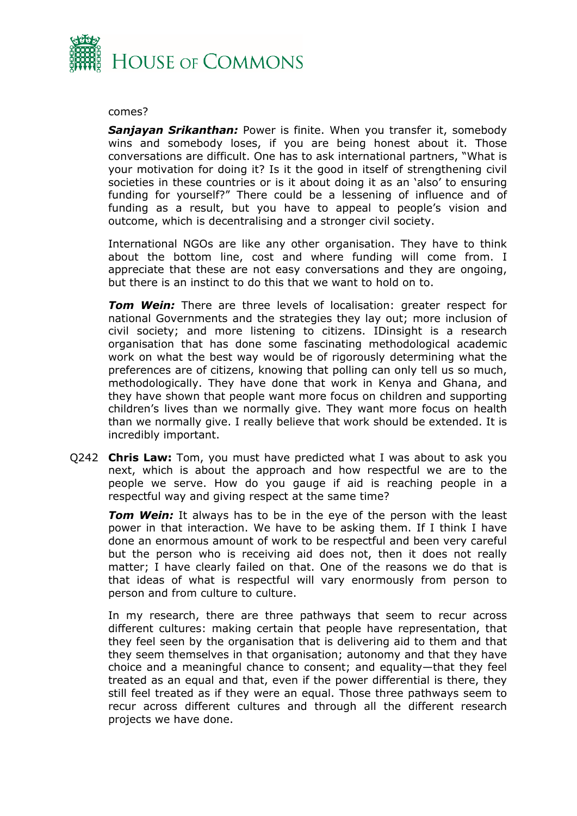

#### comes?

*Sanjayan Srikanthan:* Power is finite. When you transfer it, somebody wins and somebody loses, if you are being honest about it. Those conversations are difficult. One has to ask international partners, "What is your motivation for doing it? Is it the good in itself of strengthening civil societies in these countries or is it about doing it as an 'also' to ensuring funding for yourself?" There could be a lessening of influence and of funding as a result, but you have to appeal to people's vision and outcome, which is decentralising and a stronger civil society.

International NGOs are like any other organisation. They have to think about the bottom line, cost and where funding will come from. I appreciate that these are not easy conversations and they are ongoing, but there is an instinct to do this that we want to hold on to.

*Tom Wein:* There are three levels of localisation: greater respect for national Governments and the strategies they lay out; more inclusion of civil society; and more listening to citizens. IDinsight is a research organisation that has done some fascinating methodological academic work on what the best way would be of rigorously determining what the preferences are of citizens, knowing that polling can only tell us so much, methodologically. They have done that work in Kenya and Ghana, and they have shown that people want more focus on children and supporting children's lives than we normally give. They want more focus on health than we normally give. I really believe that work should be extended. It is incredibly important.

Q242 **Chris Law:** Tom, you must have predicted what I was about to ask you next, which is about the approach and how respectful we are to the people we serve. How do you gauge if aid is reaching people in a respectful way and giving respect at the same time?

*Tom Wein:* It always has to be in the eye of the person with the least power in that interaction. We have to be asking them. If I think I have done an enormous amount of work to be respectful and been very careful but the person who is receiving aid does not, then it does not really matter; I have clearly failed on that. One of the reasons we do that is that ideas of what is respectful will vary enormously from person to person and from culture to culture.

In my research, there are three pathways that seem to recur across different cultures: making certain that people have representation, that they feel seen by the organisation that is delivering aid to them and that they seem themselves in that organisation; autonomy and that they have choice and a meaningful chance to consent; and equality—that they feel treated as an equal and that, even if the power differential is there, they still feel treated as if they were an equal. Those three pathways seem to recur across different cultures and through all the different research projects we have done.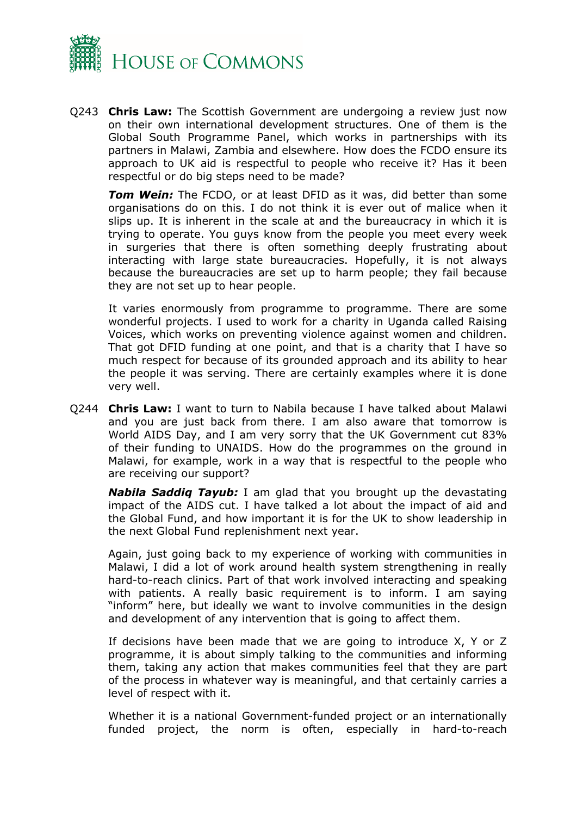

Q243 **Chris Law:** The Scottish Government are undergoing a review just now on their own international development structures. One of them is the Global South Programme Panel, which works in partnerships with its partners in Malawi, Zambia and elsewhere. How does the FCDO ensure its approach to UK aid is respectful to people who receive it? Has it been respectful or do big steps need to be made?

*Tom Wein:* The FCDO, or at least DFID as it was, did better than some organisations do on this. I do not think it is ever out of malice when it slips up. It is inherent in the scale at and the bureaucracy in which it is trying to operate. You guys know from the people you meet every week in surgeries that there is often something deeply frustrating about interacting with large state bureaucracies. Hopefully, it is not always because the bureaucracies are set up to harm people; they fail because they are not set up to hear people.

It varies enormously from programme to programme. There are some wonderful projects. I used to work for a charity in Uganda called Raising Voices, which works on preventing violence against women and children. That got DFID funding at one point, and that is a charity that I have so much respect for because of its grounded approach and its ability to hear the people it was serving. There are certainly examples where it is done very well.

Q244 **Chris Law:** I want to turn to Nabila because I have talked about Malawi and you are just back from there. I am also aware that tomorrow is World AIDS Day, and I am very sorry that the UK Government cut 83% of their funding to UNAIDS. How do the programmes on the ground in Malawi, for example, work in a way that is respectful to the people who are receiving our support?

*Nabila Saddiq Tayub:* I am glad that you brought up the devastating impact of the AIDS cut. I have talked a lot about the impact of aid and the Global Fund, and how important it is for the UK to show leadership in the next Global Fund replenishment next year.

Again, just going back to my experience of working with communities in Malawi, I did a lot of work around health system strengthening in really hard-to-reach clinics. Part of that work involved interacting and speaking with patients. A really basic requirement is to inform. I am saying "inform" here, but ideally we want to involve communities in the design and development of any intervention that is going to affect them.

If decisions have been made that we are going to introduce X, Y or Z programme, it is about simply talking to the communities and informing them, taking any action that makes communities feel that they are part of the process in whatever way is meaningful, and that certainly carries a level of respect with it.

Whether it is a national Government-funded project or an internationally funded project, the norm is often, especially in hard-to-reach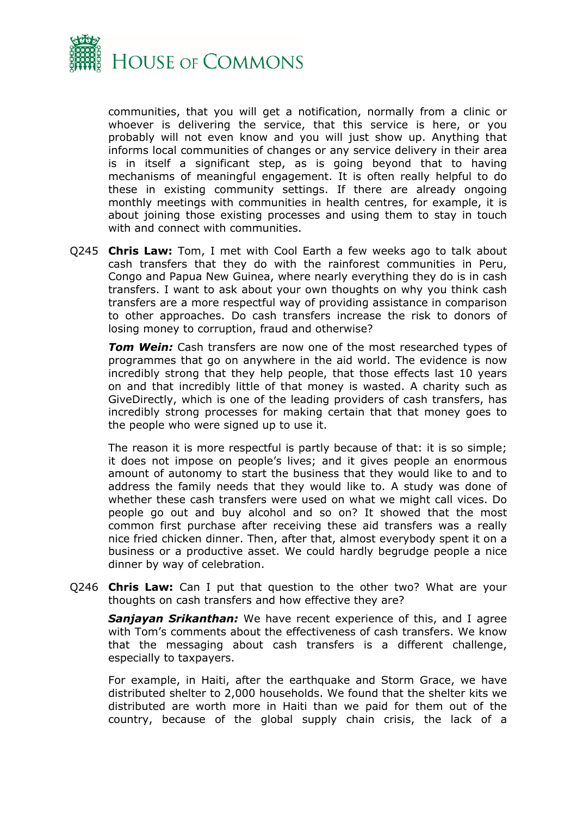

communities, that you will get a notification, normally from a clinic or whoever is delivering the service, that this service is here, or you probably will not even know and you will just show up. Anything that informs local communities of changes or any service delivery in their area is in itself a significant step, as is going beyond that to having mechanisms of meaningful engagement. It is often really helpful to do these in existing community settings. If there are already ongoing monthly meetings with communities in health centres, for example, it is about joining those existing processes and using them to stay in touch with and connect with communities.

Q245 **Chris Law:** Tom, I met with Cool Earth a few weeks ago to talk about cash transfers that they do with the rainforest communities in Peru, Congo and Papua New Guinea, where nearly everything they do is in cash transfers. I want to ask about your own thoughts on why you think cash transfers are a more respectful way of providing assistance in comparison to other approaches. Do cash transfers increase the risk to donors of losing money to corruption, fraud and otherwise?

*Tom Wein:* Cash transfers are now one of the most researched types of programmes that go on anywhere in the aid world. The evidence is now incredibly strong that they help people, that those effects last 10 years on and that incredibly little of that money is wasted. A charity such as GiveDirectly, which is one of the leading providers of cash transfers, has incredibly strong processes for making certain that that money goes to the people who were signed up to use it.

The reason it is more respectful is partly because of that: it is so simple; it does not impose on people's lives; and it gives people an enormous amount of autonomy to start the business that they would like to and to address the family needs that they would like to. A study was done of whether these cash transfers were used on what we might call vices. Do people go out and buy alcohol and so on? It showed that the most common first purchase after receiving these aid transfers was a really nice fried chicken dinner. Then, after that, almost everybody spent it on a business or a productive asset. We could hardly begrudge people a nice dinner by way of celebration.

Q246 **Chris Law:** Can I put that question to the other two? What are your thoughts on cash transfers and how effective they are?

*Sanjayan Srikanthan:* We have recent experience of this, and I agree with Tom's comments about the effectiveness of cash transfers. We know that the messaging about cash transfers is a different challenge, especially to taxpayers.

For example, in Haiti, after the earthquake and Storm Grace, we have distributed shelter to 2,000 households. We found that the shelter kits we distributed are worth more in Haiti than we paid for them out of the country, because of the global supply chain crisis, the lack of a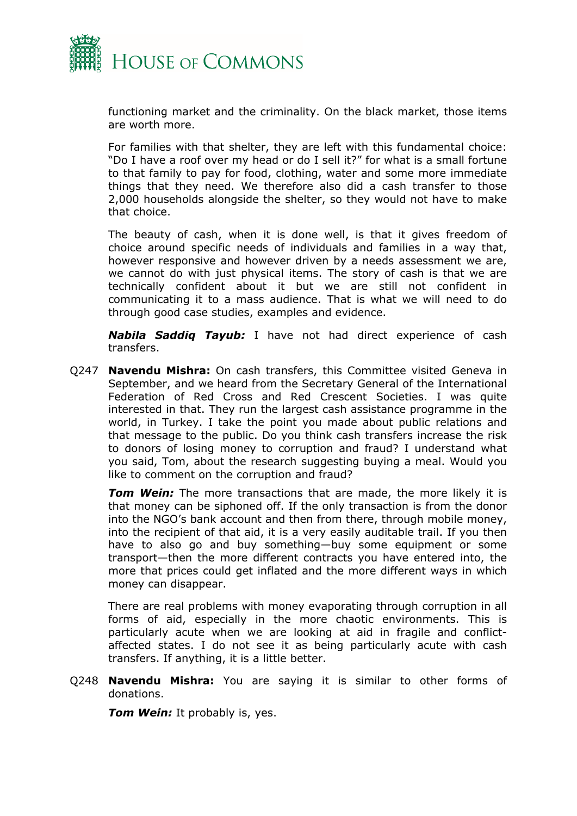

functioning market and the criminality. On the black market, those items are worth more.

For families with that shelter, they are left with this fundamental choice: "Do I have a roof over my head or do I sell it?" for what is a small fortune to that family to pay for food, clothing, water and some more immediate things that they need. We therefore also did a cash transfer to those 2,000 households alongside the shelter, so they would not have to make that choice.

The beauty of cash, when it is done well, is that it gives freedom of choice around specific needs of individuals and families in a way that, however responsive and however driven by a needs assessment we are, we cannot do with just physical items. The story of cash is that we are technically confident about it but we are still not confident in communicating it to a mass audience. That is what we will need to do through good case studies, examples and evidence.

*Nabila Saddiq Tayub:* I have not had direct experience of cash transfers.

Q247 **Navendu Mishra:** On cash transfers, this Committee visited Geneva in September, and we heard from the Secretary General of the International Federation of Red Cross and Red Crescent Societies. I was quite interested in that. They run the largest cash assistance programme in the world, in Turkey. I take the point you made about public relations and that message to the public. Do you think cash transfers increase the risk to donors of losing money to corruption and fraud? I understand what you said, Tom, about the research suggesting buying a meal. Would you like to comment on the corruption and fraud?

*Tom Wein:* The more transactions that are made, the more likely it is that money can be siphoned off. If the only transaction is from the donor into the NGO's bank account and then from there, through mobile money, into the recipient of that aid, it is a very easily auditable trail. If you then have to also go and buy something—buy some equipment or some transport—then the more different contracts you have entered into, the more that prices could get inflated and the more different ways in which money can disappear.

There are real problems with money evaporating through corruption in all forms of aid, especially in the more chaotic environments. This is particularly acute when we are looking at aid in fragile and conflictaffected states. I do not see it as being particularly acute with cash transfers. If anything, it is a little better.

Q248 **Navendu Mishra:** You are saying it is similar to other forms of donations.

*Tom Wein:* It probably is, yes.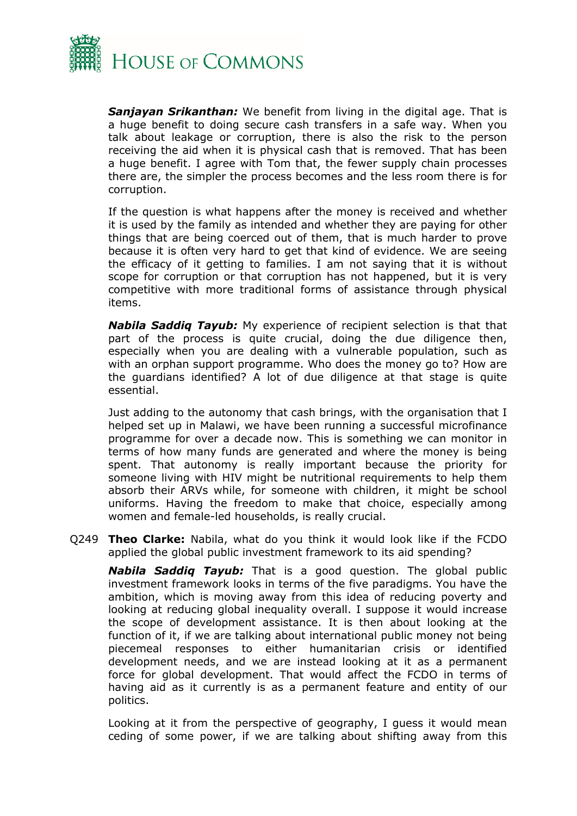

*Sanjayan Srikanthan:* We benefit from living in the digital age. That is a huge benefit to doing secure cash transfers in a safe way. When you talk about leakage or corruption, there is also the risk to the person receiving the aid when it is physical cash that is removed. That has been a huge benefit. I agree with Tom that, the fewer supply chain processes there are, the simpler the process becomes and the less room there is for corruption.

If the question is what happens after the money is received and whether it is used by the family as intended and whether they are paying for other things that are being coerced out of them, that is much harder to prove because it is often very hard to get that kind of evidence. We are seeing the efficacy of it getting to families. I am not saying that it is without scope for corruption or that corruption has not happened, but it is very competitive with more traditional forms of assistance through physical items.

*Nabila Saddiq Tayub:* My experience of recipient selection is that that part of the process is quite crucial, doing the due diligence then, especially when you are dealing with a vulnerable population, such as with an orphan support programme. Who does the money go to? How are the guardians identified? A lot of due diligence at that stage is quite essential.

Just adding to the autonomy that cash brings, with the organisation that I helped set up in Malawi, we have been running a successful microfinance programme for over a decade now. This is something we can monitor in terms of how many funds are generated and where the money is being spent. That autonomy is really important because the priority for someone living with HIV might be nutritional requirements to help them absorb their ARVs while, for someone with children, it might be school uniforms. Having the freedom to make that choice, especially among women and female-led households, is really crucial.

Q249 **Theo Clarke:** Nabila, what do you think it would look like if the FCDO applied the global public investment framework to its aid spending?

*Nabila Saddiq Tayub:* That is a good question. The global public investment framework looks in terms of the five paradigms. You have the ambition, which is moving away from this idea of reducing poverty and looking at reducing global inequality overall. I suppose it would increase the scope of development assistance. It is then about looking at the function of it, if we are talking about international public money not being piecemeal responses to either humanitarian crisis or identified development needs, and we are instead looking at it as a permanent force for global development. That would affect the FCDO in terms of having aid as it currently is as a permanent feature and entity of our politics.

Looking at it from the perspective of geography, I guess it would mean ceding of some power, if we are talking about shifting away from this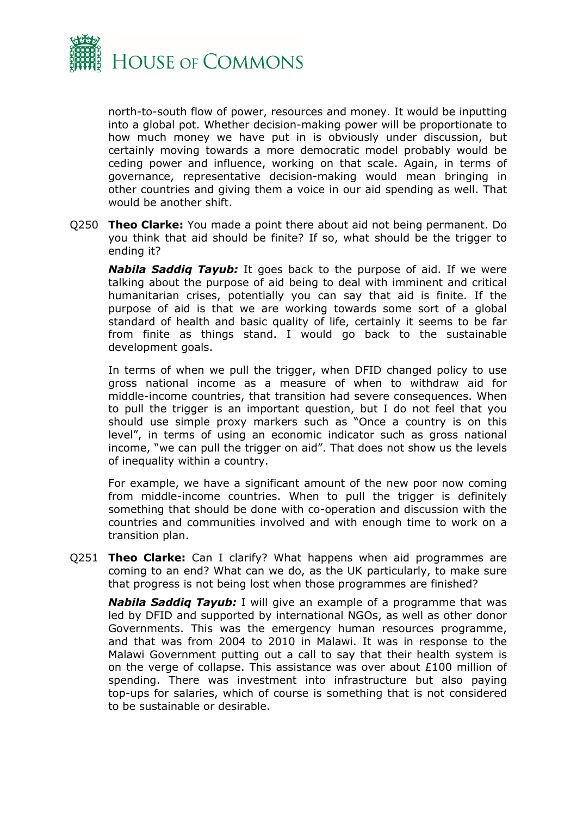

north-to-south flow of power, resources and money. It would be inputting into a global pot. Whether decision-making power will be proportionate to how much money we have put in is obviously under discussion, but certainly moving towards a more democratic model probably would be ceding power and influence, working on that scale. Again, in terms of governance, representative decision-making would mean bringing in other countries and giving them a voice in our aid spending as well. That would be another shift.

Q250 **Theo Clarke:** You made a point there about aid not being permanent. Do you think that aid should be finite? If so, what should be the trigger to ending it?

*Nabila Saddiq Tayub:* It goes back to the purpose of aid. If we were talking about the purpose of aid being to deal with imminent and critical humanitarian crises, potentially you can say that aid is finite. If the purpose of aid is that we are working towards some sort of a global standard of health and basic quality of life, certainly it seems to be far from finite as things stand. I would go back to the sustainable development goals.

In terms of when we pull the trigger, when DFID changed policy to use gross national income as a measure of when to withdraw aid for middle-income countries, that transition had severe consequences. When to pull the trigger is an important question, but I do not feel that you should use simple proxy markers such as "Once a country is on this level", in terms of using an economic indicator such as gross national income, "we can pull the trigger on aid". That does not show us the levels of inequality within a country.

For example, we have a significant amount of the new poor now coming from middle-income countries. When to pull the trigger is definitely something that should be done with co-operation and discussion with the countries and communities involved and with enough time to work on a transition plan.

Q251 **Theo Clarke:** Can I clarify? What happens when aid programmes are coming to an end? What can we do, as the UK particularly, to make sure that progress is not being lost when those programmes are finished?

*Nabila Saddiq Tayub:* I will give an example of a programme that was led by DFID and supported by international NGOs, as well as other donor Governments. This was the emergency human resources programme, and that was from 2004 to 2010 in Malawi. It was in response to the Malawi Government putting out a call to say that their health system is on the verge of collapse. This assistance was over about  $£100$  million of spending. There was investment into infrastructure but also paying top-ups for salaries, which of course is something that is not considered to be sustainable or desirable.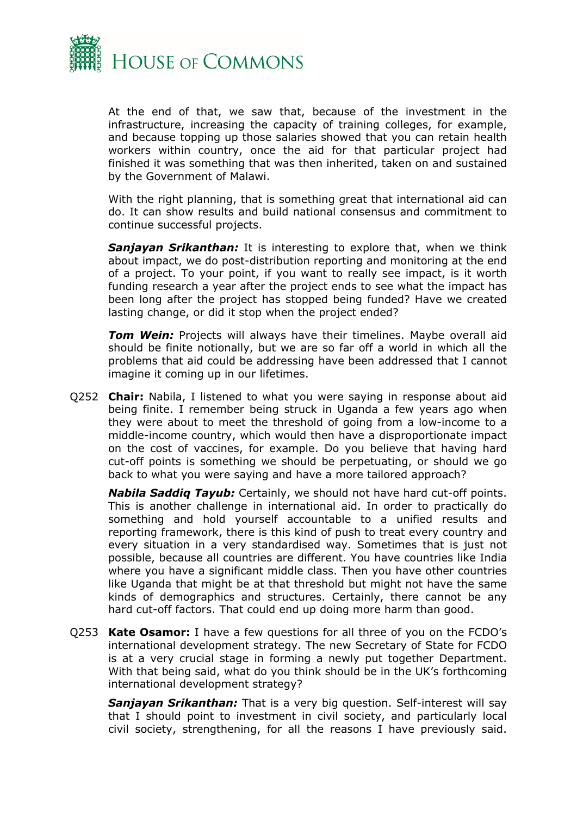

At the end of that, we saw that, because of the investment in the infrastructure, increasing the capacity of training colleges, for example, and because topping up those salaries showed that you can retain health workers within country, once the aid for that particular project had finished it was something that was then inherited, taken on and sustained by the Government of Malawi.

With the right planning, that is something great that international aid can do. It can show results and build national consensus and commitment to continue successful projects.

*Sanjayan Srikanthan:* It is interesting to explore that, when we think about impact, we do post-distribution reporting and monitoring at the end of a project. To your point, if you want to really see impact, is it worth funding research a year after the project ends to see what the impact has been long after the project has stopped being funded? Have we created lasting change, or did it stop when the project ended?

*Tom Wein:* Projects will always have their timelines. Maybe overall aid should be finite notionally, but we are so far off a world in which all the problems that aid could be addressing have been addressed that I cannot imagine it coming up in our lifetimes.

Q252 **Chair:** Nabila, I listened to what you were saying in response about aid being finite. I remember being struck in Uganda a few years ago when they were about to meet the threshold of going from a low-income to a middle-income country, which would then have a disproportionate impact on the cost of vaccines, for example. Do you believe that having hard cut-off points is something we should be perpetuating, or should we go back to what you were saying and have a more tailored approach?

*Nabila Saddiq Tayub:* Certainly, we should not have hard cut-off points. This is another challenge in international aid. In order to practically do something and hold yourself accountable to a unified results and reporting framework, there is this kind of push to treat every country and every situation in a very standardised way. Sometimes that is just not possible, because all countries are different. You have countries like India where you have a significant middle class. Then you have other countries like Uganda that might be at that threshold but might not have the same kinds of demographics and structures. Certainly, there cannot be any hard cut-off factors. That could end up doing more harm than good.

Q253 **Kate Osamor:** I have a few questions for all three of you on the FCDO's international development strategy. The new Secretary of State for FCDO is at a very crucial stage in forming a newly put together Department. With that being said, what do you think should be in the UK's forthcoming international development strategy?

*Sanjayan Srikanthan:* That is a very big question. Self-interest will say that I should point to investment in civil society, and particularly local civil society, strengthening, for all the reasons I have previously said.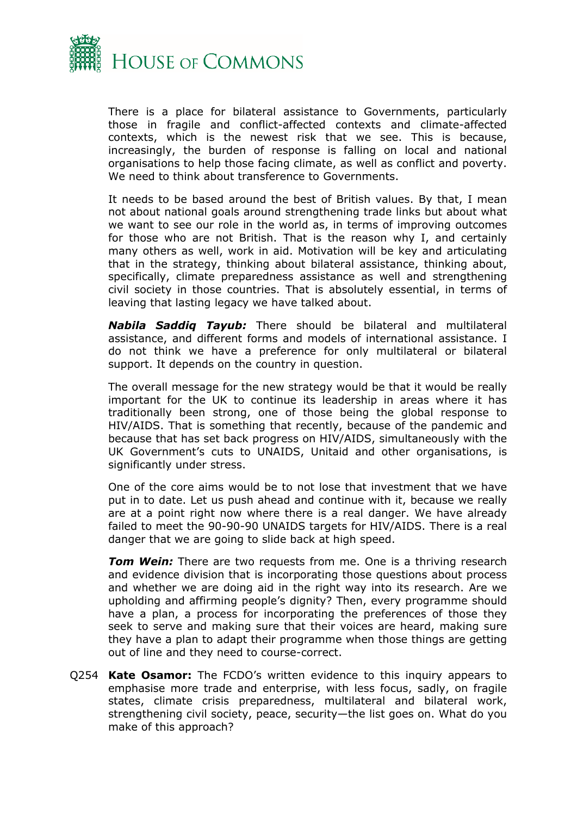

There is a place for bilateral assistance to Governments, particularly those in fragile and conflict-affected contexts and climate-affected contexts, which is the newest risk that we see. This is because, increasingly, the burden of response is falling on local and national organisations to help those facing climate, as well as conflict and poverty. We need to think about transference to Governments.

It needs to be based around the best of British values. By that, I mean not about national goals around strengthening trade links but about what we want to see our role in the world as, in terms of improving outcomes for those who are not British. That is the reason why I, and certainly many others as well, work in aid. Motivation will be key and articulating that in the strategy, thinking about bilateral assistance, thinking about, specifically, climate preparedness assistance as well and strengthening civil society in those countries. That is absolutely essential, in terms of leaving that lasting legacy we have talked about.

*Nabila Saddiq Tayub:* There should be bilateral and multilateral assistance, and different forms and models of international assistance. I do not think we have a preference for only multilateral or bilateral support. It depends on the country in question.

The overall message for the new strategy would be that it would be really important for the UK to continue its leadership in areas where it has traditionally been strong, one of those being the global response to HIV/AIDS. That is something that recently, because of the pandemic and because that has set back progress on HIV/AIDS, simultaneously with the UK Government's cuts to UNAIDS, Unitaid and other organisations, is significantly under stress.

One of the core aims would be to not lose that investment that we have put in to date. Let us push ahead and continue with it, because we really are at a point right now where there is a real danger. We have already failed to meet the 90-90-90 UNAIDS targets for HIV/AIDS. There is a real danger that we are going to slide back at high speed.

**Tom Wein:** There are two requests from me. One is a thriving research and evidence division that is incorporating those questions about process and whether we are doing aid in the right way into its research. Are we upholding and affirming people's dignity? Then, every programme should have a plan, a process for incorporating the preferences of those they seek to serve and making sure that their voices are heard, making sure they have a plan to adapt their programme when those things are getting out of line and they need to course-correct.

Q254 **Kate Osamor:** The FCDO's written evidence to this inquiry appears to emphasise more trade and enterprise, with less focus, sadly, on fragile states, climate crisis preparedness, multilateral and bilateral work, strengthening civil society, peace, security—the list goes on. What do you make of this approach?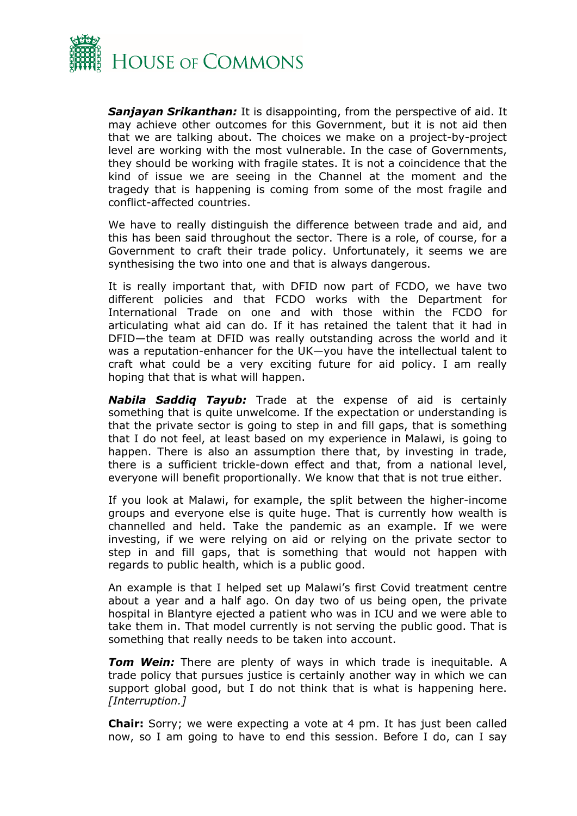

*Sanjayan Srikanthan:* It is disappointing, from the perspective of aid. It may achieve other outcomes for this Government, but it is not aid then that we are talking about. The choices we make on a project-by-project level are working with the most vulnerable. In the case of Governments, they should be working with fragile states. It is not a coincidence that the kind of issue we are seeing in the Channel at the moment and the tragedy that is happening is coming from some of the most fragile and conflict-affected countries.

We have to really distinguish the difference between trade and aid, and this has been said throughout the sector. There is a role, of course, for a Government to craft their trade policy. Unfortunately, it seems we are synthesising the two into one and that is always dangerous.

It is really important that, with DFID now part of FCDO, we have two different policies and that FCDO works with the Department for International Trade on one and with those within the FCDO for articulating what aid can do. If it has retained the talent that it had in DFID—the team at DFID was really outstanding across the world and it was a reputation-enhancer for the UK—you have the intellectual talent to craft what could be a very exciting future for aid policy. I am really hoping that that is what will happen.

*Nabila Saddiq Tayub:* Trade at the expense of aid is certainly something that is quite unwelcome. If the expectation or understanding is that the private sector is going to step in and fill gaps, that is something that I do not feel, at least based on my experience in Malawi, is going to happen. There is also an assumption there that, by investing in trade, there is a sufficient trickle-down effect and that, from a national level, everyone will benefit proportionally. We know that that is not true either.

If you look at Malawi, for example, the split between the higher-income groups and everyone else is quite huge. That is currently how wealth is channelled and held. Take the pandemic as an example. If we were investing, if we were relying on aid or relying on the private sector to step in and fill gaps, that is something that would not happen with regards to public health, which is a public good.

An example is that I helped set up Malawi's first Covid treatment centre about a year and a half ago. On day two of us being open, the private hospital in Blantyre ejected a patient who was in ICU and we were able to take them in. That model currently is not serving the public good. That is something that really needs to be taken into account.

*Tom Wein:* There are plenty of ways in which trade is inequitable. A trade policy that pursues justice is certainly another way in which we can support global good, but I do not think that is what is happening here. *[Interruption.]*

**Chair:** Sorry; we were expecting a vote at 4 pm. It has just been called now, so I am going to have to end this session. Before I do, can I say